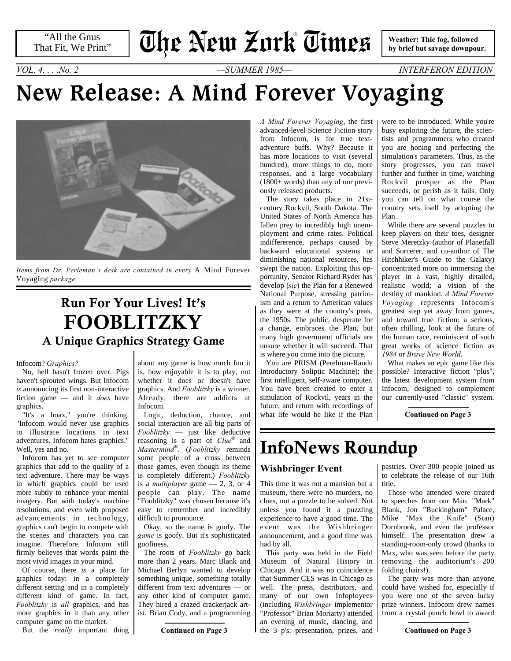"All the Gnus That Fit, We Print"

# **The New Zork Times** ®

 **Weather: Thic fog, followed by brief but savage downpour.**

*VOL. 4. . . .No. 2 —SUMMER 1985— INTERFERON EDITION*

# **New Release: A Mind Forever Voyaging**



*Items from Dr. Perleman's desk are contained in every* A Mind Forever Voyaging *package.*

## **Run For Your Lives! It's FOOBLITZKY A Unique Graphics Strategy Game**

#### Infocom? *Graphics?*

No, hell hasn't frozen over. Pigs haven't sprouted wings. But Infocom *is* announcing its first non-interactive fiction game — and it *does* have graphics.

"It's a hoax," you're thinking. "Infocom would never use graphics to illustrate locations in text adventures. Infocom hates graphics." Well, yes and no.

<span id="page-0-0"></span>Infocom has yet to see computer graphics that add to the quality of a text adventure. There may be ways in which graphics could be used more subtly to enhance your mental imagery. But with today's machine resolutions, and even with proposed advancements in technology, graphics can't begin to compete with the scenes and characters you can imagine. Therefore, Infocom still firmly believes that words paint the most vivid images in your mind.

Of course, there *is* a place for graphics today: in a completely different setting and in a completely different kind of game. In fact, *Fooblitzky* is *all* graphics, and has more graphics in it than any other computer game on the market.

But the *really* important thing

about any game is how much fun it is, how enjoyable it is to play, not whether it does or doesn't have graphics. And *Fooblitzky* is a winner. Already, there are addicts at Infocom.

Logic, deduction, chance, and social interaction are all big parts of *Fooblitzky* — just like deductive reasoning is a part of *Clue*® and *Mastermind*® . (*Fooblitzky* reminds some people of a cross between those games, even though its theme is completely different.) *Fooblitzky* is a *multiplayer* game  $-2$ , 3, or 4 people can play. The name "Fooblitzky" was chosen because it's easy to remember and incredibly difficult to pronounce.

Okay, so the name is goofy. The *game* is goofy. But it's sophisticated goofiness.

The roots of *Fooblitzky* go back more than 2 years. Marc Blank and Michael Berlyn wanted to develop something unique, something totally different from text adventures — or any other kind of computer game. They hired a crazed crackerjack artist, Brian Cody, and a programming

**[Continued on Page 3](#page-2-0)**

*A Mind Forever Voyaging*, the first advanced-level Science Fiction story from Infocom, is for true textadventure buffs. Why? Because it has more locations to visit (several hundred), more things to do, more responses, and a large vocabulary (1800+ words) than any of our previously released products.

<span id="page-0-1"></span>The story takes place in 21stcentury Rockvil, South Dakota. The United States of North America has fallen prey to incredibly high unemployment and crime rates. Political indiffererence, perhaps caused by backward educational systems or diminishing national resources, has swept the nation. Exploiting this opportunity, Senator Richard Ryder has develop (*sic*) the Plan for a Renewed National Purpose, stressing patriotism and a return to American values as they were at the country's peak, the 1950s. The public, desperate for a change, embraces the Plan, but many high government officials are unsure whether it will succeed. That is where you come into the picture.

You are PRISM (Perelman-Randu Introductory Soliptic Machine); the first intelligent, self-aware computer. You have been created to enter a simulation of Rockvil, years in the future, and return with recordings of what life would be like if the Plan were to be introduced. While you're busy exploring the future, the scientists and programmers who created you are honing and perfecting the simulation's parameters. Thus, as the story progresses, you can travel further and further in time, watching Rockvil prosper as the Plan succeeds, or perish as it fails. Only you can tell on what course the country sets itself by adopting the Plan.

While there are several puzzles to keep players on their toes, designer Steve Meretzky (author of Planetfall and Sorcerer, and co-author of The Hitchhiker's Guide to the Galaxy) concentrated more on immersing the player in a vast, highly detailed, realistic world; a vision of the destiny of mankind. *A Mind Forever Voyaging* represents Infocom's greatest step yet away from games, and toward true fiction: a serious, often chilling, look at the future of the human race, reminiscent of such great works of science fiction as *1984* or *Brave New World*.

What makes an epic game like this possible? Interactive fiction "plus", the latest development system from Infocom, designed to complement our currently-used "classic" system.

**[Continued on Page 3](#page-2-1)**

## **InfoNews Roundup**

#### **Wishbringer Event**

<span id="page-0-2"></span>This time it was not a mansion but a museum, there were no murders, no clues, not a puzzle to be solved. Not unless you found it a puzzling experience to have a good time. The event was the Wishbringer announcement, and a good time was had by all.

This party was held in the Field Museum of Natural History in Chicago. And it was no coincidence that Summer CES was in Chicago as well. The press, distributors, and many of our own Infoployees (including *Wishbringer* implementor "Professor" Brian Moriarty) attended an evening of music, dancing, and the 3 p's: presentation, prizes, and

pastries. Over 300 people joined us to celebrate the release of our 16th title.

Those who attended were treated to speeches from our Marc "Mark" Blank, Jon "Buckingham" Palace, Mike "Max the Knife" (Stan) Dornbrook, and even the professor himself. The presentation drew a standing-room-only crowd (thanks to Max, who was seen before the party removing the auditorium's 200 folding chairs!).

The party was more than anyone could have wished for, especially if you were one of the seven lucky prize winners. Infocom drew names from a crystal punch bowl to award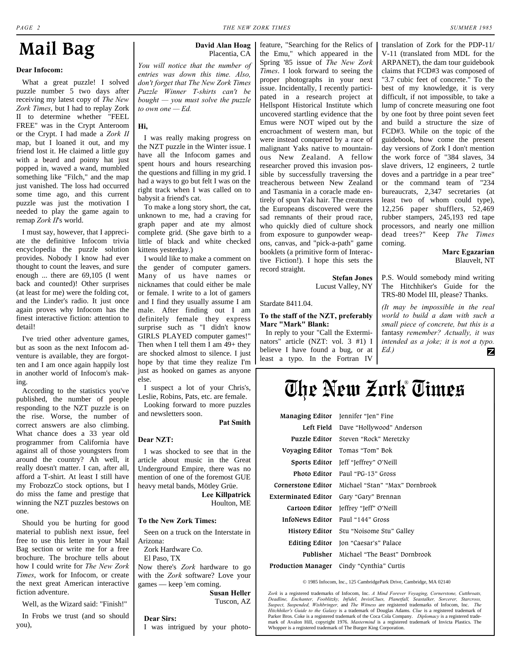## **Mail Bag**

#### **Dear Infocom:**

What a great puzzle! I solved puzzle number 5 two days after receiving my latest copy of *The New Zork Times*, but I had to replay Zork II to determine whether "FEEL FREE" was in the Crypt Anteroom or the Crypt. I had made a *Zork II* map, but I loaned it out, and my friend lost it. He claimed a little guy with a beard and pointy hat just popped in, waved a wand, mumbled something like "Filch," and the map just vanished. The loss had occurred some time ago, and this current puzzle was just the motivation I needed to play the game again to remap *Zork II*'s world.

I must say, however, that I appreciate the definitive Infocom trivia encyclopedia the puzzle solution provides. Nobody I know had ever thought to count the leaves, and sure enough ... there are 69,105 (I went back and counted)! Other surprises (at least for me) were the folding cot, and the Linder's radio. It just once again proves why Infocom has the finest interactive fiction: attention to detail!

I've tried other adventure games, but as soon as the next Infocom adventure is available, they are forgotten and I am once again happily lost in another world of Infocom's making.

According to the statistics you've published, the number of people responding to the NZT puzzle is on the rise. Worse, the number of correct answers are also climbing. What chance does a 33 year old programmer from California have against all of those youngsters from around the country? Ah well, it really doesn't matter. I can, after all, afford a T-shirt. At least I still have my FrobozzCo stock options, but I do miss the fame and prestige that winning the NZT puzzles bestows on one.

Should you be hurting for good material to publish next issue, feel free to use this letter in your Mail Bag section or write me for a free brochure. The brochure tells about how I could write for *The New Zork Times*, work for Infocom, or create the next great American interactive fiction adventure.

Well, as the Wizard said: "Finish!"

In Frobs we trust (and so should you),

#### **David Alan Hoag**

Placentia, CA

*You will notice that the number of entries was down this time. Also, don't forget that The New Zork Times Puzzle Winner T-shirts can't be bought — you must solve the puzzle to own one — Ed.*

#### **Hi,**

I was really making progress on the NZT puzzle in the Winter issue. I have all the Infocom games and spent hours and hours researching the questions and filling in my grid. I had a ways to go but felt I was on the right track when I was called on to babysit a friend's cat.

To make a long story short, the cat, unknown to me, had a craving for graph paper and ate my almost complete grid. (She gave birth to a little of black and white checked kittens yesterday.)

I would like to make a comment on the gender of computer gamers. Many of us have names or nicknames that could either be male or female. I write to a lot of gamers and I find they usually assume I am male. After finding out I am definitely female they express surprise such as "I didn't know GIRLS PLAYED computer games!" Then when I tell them I am 49+ they are shocked almost to silence. I just hope by that time they realize I'm just as hooked on games as anyone else.

I suspect a lot of your Chris's, Leslie, Robins, Pats, etc. are female.

Looking forward to more puzzles and newsletters soon.

**Pat Smith**

#### **Dear NZT:**

I was shocked to see that in the article about music in the Great Underground Empire, there was no mention of one of the foremost GUE heavy metal bands, Mötley Grüe.

> **Lee Killpatrick** Houlton, ME

#### **To the New Zork Times:**

Seen on a truck on the Interstate in Arizona:

Zork Hardware Co. El Paso, TX

Now there's *Zork* hardware to go with the *Zork* software? Love your games — keep 'em coming.

> **Susan Heller** Tuscon, AZ

#### **Dear Sirs:**

I was intrigued by your photo-

feature, "Searching for the Relics of the Emu," which appeared in the Spring '85 issue of *The New Zork Times*. I look forward to seeing the proper photographs in your next issue. Incidentally, I recently participated in a research project at Hellspont Historical Institute which uncovered startling evidence that the Emus were NOT wiped out by the encroachment of western man, but were instead conquered by a race of malignant Yaks native to mountainous New Zealand. A fellow researcher proved this invasion possible by successfully traversing the treacherous between New Zealand and Tasmania in a coracle made entirely of spun Yak hair. The creatures the Europeans discovered were the sad remnants of their proud race, who quickly died of culture shock from exposure to gunpowder weapons, canvas, and "pick-a-path" game booklets (a primitive form of Interactive Fiction!). I hope this sets the record straight.

> **Stefan Jones** Lucust Valley, NY

Stardate 8411.04.

#### **To the staff of the NZT, preferably Marc "Mark" Blank:**

In reply to your "Call the Exterminators" article (NZT: vol. 3 #1) I believe I have found a bug, or at least a typo. In the Fortran IV

translation of Zork for the PDP-11/ V-11 (translated from MDL for the ARPANET), the dam tour guidebook claims that FCD#3 was composed of "3.7 cubic feet of concrete." To the best of my knowledge, it is very difficult, if not impossible, to take a lump of concrete measuring one foot by one foot by three point seven feet and build a structure the size of FCD#3. While on the topic of the guidebook, how come the present day versions of Zork I don't mention the work force of "384 slaves, 34 slave drivers, 12 engineers, 2 turtle doves and a partridge in a pear tree" or the command team of "234 bureaucrats, 2,347 secretaries (at least two of whom could type), 12,256 paper shufflers, 52,469 rubber stampers, 245,193 red tape processors, and nearly one million dead trees?" Keep *The Times* coming.

> **Marc Egazarian** Blauvelt, NT

P.S. Would somebody mind writing The Hitchhiker's Guide for the TRS-80 Model III, please? Thanks.

*(It may be impossible in the real world to build a dam with such a small piece of concrete, but this is a* fantasy *remember? Actually, it was intended as a joke; it is not a typo. Ed.)* Z

## **The New Zork Times** ®

|                        | Managing Editor Jennifer "Jen" Fine         |
|------------------------|---------------------------------------------|
|                        | <b>Left Field</b> Dave "Hollywood" Anderson |
|                        | Puzzle Editor Steven "Rock" Meretzky        |
| Voyaging Editor        | Tomas "Tom" Bok                             |
| Sports Editor          | Jeff "Jeffrey" O'Neill                      |
| Photo Editor           | Paul "PG-13" Gross                          |
| Cornerstone Editor     | Michael "Stan" "Max" Dornbrook              |
| Exterminated Editor    | Gary "Gary" Brennan                         |
| Cartoon Editor         | Jeffrey "Jeff" O'Neill                      |
| <b>InfoNews Editor</b> | Paul "144" Gross                            |
| History Editor         | Stu "Noisome Stu" Galley                    |
| <b>Editing Editor</b>  | Jon "Caesar's" Palace                       |
| Publisher              | Michael "The Beast" Dornbrook               |
| Production Manager     | Cindy "Cynthia" Curtis                      |

© 1985 Infocom, Inc., 125 CambridgePark Drive, Cambridge, MA 02140

*Zork* is a registered trademarks of Infocom, Inc. *A Mind Forever Voyaging, Cornerstone, Cutthroats,* Deadline, Enchanter, Fooblitzky, Infidel, InvisiClues, Planetfall, Seastalker, Sorcerer, Starcross,<br>Suspect, Suspended, Wishbringer, and The Witness are registered trademarks of Infocom, Inc. The<br>Hitchhiker's Guide to the Parker Bros. Coke is a registered trademark of the Coca Cola Company. *Diplomacy* is a registered trade-mark of Avalon Hill, copyright 1976. *Mastermind* is a registered trademark of Invicta Plastics. The Whopper is a registered trademark of The Burger King Corporation.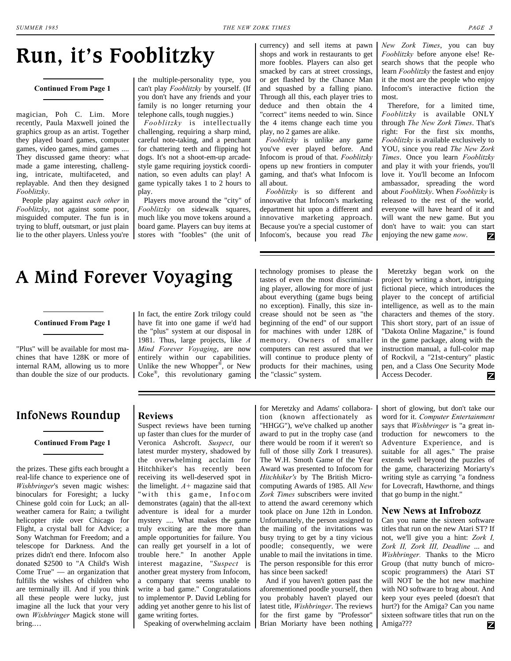## <span id="page-2-0"></span>**Run, it's Fooblitzky**

#### **[Continued From Page 1](#page-0-0)**

magician, Poh C. Lim. More recently, Paula Maxwell joined the graphics group as an artist. Together they played board games, computer games, video games, mind games .... They discussed game theory: what made a game interesting, challenging, intricate, multifaceted, and replayable. And then they designed *Fooblitzky*.

People play against *each other* in *Fooblitzky*, not against some poor, misguided computer. The fun is in trying to bluff, outsmart, or just plain lie to the other players. Unless you're

the multiple-personality type, you can't play *Fooblitzky* by yourself. (If you don't have any friends and your family is no longer returning your telephone calls, tough nuggies.)

*Fooblitzky* is intellectually challenging, requiring a sharp mind, careful note-taking, and a penchant for chattering teeth and flipping hot dogs. It's not a shoot-em-up arcadestyle game requiring joystick coordination, so even adults can play! A game typically takes 1 to 2 hours to play.

Players move around the "city" of *Fooblitzky* on sidewalk squares, much like you move tokens around a board game. Players can buy items at stores with "foobles" (the unit of

currency) and sell items at pawn shops and work in restaurants to get more foobles. Players can also get smacked by cars at street crossings, or get flashed by the Chance Man and squashed by a falling piano. Through all this, each player tries to deduce and then obtain the 4 "correct" items needed to win. Since the 4 items change each time you play, no 2 games are alike.

*Fooblitzky* is unlike any game you've ever played before. And Infocom is proud of that. *Fooblitzky* opens up new frontiers in computer gaming, and that's what Infocom is all about.

*Fooblitzky* is so different and innovative that Infocom's marketing department hit upon a different and innovative marketing approach. Because you're a special customer of Infocom's, because you read *The*  *New Zork Times*, you can buy *Fooblitzky* before anyone else! Research shows that the people who learn *Fooblitzky* the fastest and enjoy it the most are the people who enjoy Infocom's interactive fiction the most.

Therefore, for a limited time, *Fooblitzky* is available ONLY through *The New Zork Times*. That's right: For the first six months, *Fooblitzky* is available exclusively to YOU, since you read *The New Zork Times*. Once you learn *Fooblitzky* and play it with your friends, you'll love it. You'll become an Infocom ambassador, spreading the word about *Fooblitzky*. When *Fooblitzky* is released to the rest of the world, everyone will have heard of it and will want the new game. But you don't have to wait: you can start enjoying the new game *now*. z

## <span id="page-2-1"></span>**A Mind Forever Voyaging**

#### **[Continued From Page 1](#page-0-1)**

"Plus" will be available for most machines that have 128K or more of internal RAM, allowing us to more than double the size of our products.

#### In fact, the entire Zork trilogy could have fit into one game if we'd had the "plus" system at our disposal in 1981. Thus, large projects, like *A Mind Forever Voyaging*, are now entirely within our capabilities. Unlike the new Whopper®, or New Coke® , this revolutionary gaming

technology promises to please the tastes of even the most discriminating player, allowing for more of just about everything (game bugs being no exception). Finally, this size increase should not be seen as "the beginning of the end" of our support for machines with under 128K of memory. Owners of smaller computers can rest assured that we will continue to produce plenty of products for their machines, using the "classic" system.

Meretzky began work on the project by writing a short, intriguing fictional piece, which introduces the player to the concept of artificial intelligence, as well as to the main characters and themes of the story. This short story, part of an issue of "Dakota Online Magazine," is found in the game package, along with the instruction manual, a full-color map of Rockvil, a "21st-century" plastic pen, and a Class One Security Mode Access Decoder. Z

#### <span id="page-2-2"></span>**InfoNews Roundup**

#### **[Continued From Page 1](#page-0-2)**

the prizes. These gifts each brought a real-life chance to experience one of *Wishbringer*'s seven magic wishes: binoculars for Foresight; a lucky Chinese gold coin for Luck; an allweather camera for Rain; a twilight helicopter ride over Chicago for Flight, a crystal ball for Advice; a Sony Watchman for Freedom; and a telescope for Darkness. And the prizes didn't end there. Infocom also donated \$2500 to "A Child's Wish Come True" — an organization that fulfills the wishes of children who are terminally ill. And if you think all these people were lucky, just imagine all the luck that your very own *Wishbringer* Magick stone will bring.…

#### **Reviews**

Suspect reviews have been turning up faster than clues for the murder of Veronica Ashcroft. *Suspect*, our latest murder mystery, shadowed by the overwhelming acclaim for Hitchhiker's has recently been receiving its well-deserved spot in the limelight. *A+* magazine said that "with this game, Infocom demonstrates (again) that the all-text adventure is ideal for a murder mystery .... What makes the game truly exciting are the more than ample opportunities for failure. You can really get yourself in a lot of trouble here." In another Apple interest magazine, "*Suspect* is another great mystery from Infocom, a company that seems unable to write a bad game." Congratulations to implementor P. David Lebling for adding yet another genre to his list of game writing fortes.

Speaking of overwhelming acclaim

for Meretzky and Adams' collaboration (known affectionately as "HHGG"), we've chalked up another award to put in the trophy case (and there would be room if it weren't so full of those silly Zork I treasures). The W.H. Smoth Game of the Year Award was presented to Infocom for *Hitchhiker's* by The British Microcomputing Awards of 1985. All *New Zork Times* subscribers were invited to attend the award ceremony which took place on June 12th in London. Unfortunately, the person assigned to the mailing of the invitations was busy trying to get by a tiny vicious poodle; consequently, we were unable to mail the invitations in time. The person responsible for this error has since been sacked!

And if you haven't gotten past the aforementioned poodle yourself, then you probably haven't played our latest title, *Wishbringer*. The reviews for the first game by "Professor" Brian Moriarty have been nothing short of glowing, but don't take our word for it. *Computer Entertainment* says that *Wishbringer* is "a great introduction for newcomers to the Adventure Experience, and is suitable for all ages." The praise extends well beyond the puzzles of the game, characterizing Moriarty's writing style as carrying "a fondness for Lovecraft, Hawthorne, and things that go bump in the night."

#### **New News at Infrobozz**

Can you name the sixteen software titles that run on the new Atari ST? If not, we'll give you a hint: *Zork I, Zork II, Zork III, Deadline* ... and *Wishbringer.* Thanks to the Micro Group (that nutty bunch of microscopic programmers) the Atari ST will NOT be the hot new machine with NO software to brag about. And keep your eyes peeled (doesn't that hurt?) for the Amiga? Can you name sixteen software titles that run on the Amiga??? Z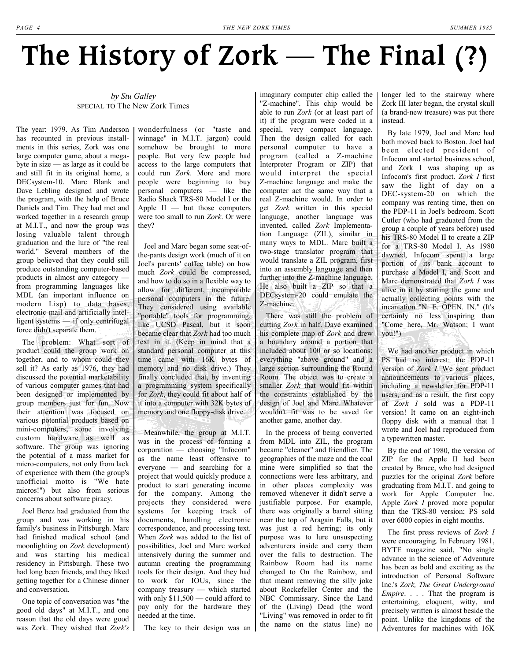# The History of Zork — The Final (?)

#### *by Stu Galley*  SPECIAL TO The New Zork Times

The year: 1979. As Tim Anderson has recounted in previous installments in this series, Zork was one large computer game, about a megabyte in size  $\sim$  as large as it could be and still fit in its original home, a DECsystem-10. Marc Blank and Dave Lebling designed and wrote the program, with the help of Bruce Daniels and Tim. They had met and worked together in a research group at M.I.T., and now the group was losing valuable talent through graduation and the lure of "the real world." Several members of the group believed that they could still produce outstanding computer-based products in almost any category  $\sim$ from programming languages like MDL (an important influence on modern Lisp) to data bases, electronic mail and artificially intelligent systems  $-$  if only centrifugal force didn't separate them.

The problem: What sort of product could the group work on together, and to whom could they sell it? As early as 1976, they had discussed the potential marketability of various computer games that had been designed or implemented by group members just for fun. Now their attention was focused on various potential products based on mini-computers, some involving custom hardware as well as software. The group was ignoring the potential of a mass market for micro-computers, not only from lack of experience with them (the group's unofficial motto is "We hate micros!") but also from serious concerns about software piracy.

Joel Berez had graduated from the group and was working in his family's business in Pittsburgh. Marc had finished medical school (and moonlighting on *Zork* development) and was starting his medical residency in Pittsburgh. These two had long been friends, and they liked getting together for a Chinese dinner and conversation.

One topic of conversation was "the good old days" at M.I.T., and one reason that the old days were good was Zork. They wished that *Zork's*

wonderfulness (or "taste and winnage" in M.I.T. jargon) could somehow be brought to more people. But very few people had access to the large computers that could run *Zork*. More and more people were beginning to buy  $p$ ersonal computers  $-$  like the Radio Shack TRS-80 Model I or the Apple  $II -$  but those computers were too small to run *Zork*. Or were they?

Joel and Marc began some seat-ofthe-pants design work (much of it on Joel's parents' coffee table) on how much *Zork* could be compressed, and how to do so in a flexible way to allow for different, incompatible personal computers in the future. They considered using available "portable" tools for programming, like UCSD Pascal, but it soon became clear that *Zork* had too much text in it. (Keep in mind that a standard personal computer at this time came with 16K bytes of memory and no disk drive.) They finally concluded that, by inventing a programming system specifically for *Zork*, they could fit about half of it into a computer with 32K bytes of memory and one floppy-disk drive.

Meanwhile, the group at M.I.T. was in the process of forming a corporation - choosing "Infocom" as the name least offensive to everyone  $-$  and searching for a project that would quickly produce a product to start generating income for the company. Among the projects they considered were systems for keeping track of documents, handling electronic correspondence, and processing text. When *Zork* was added to the list of possibilities, Joel and Marc worked intensively during the summer and autumn creating the programming tools for their design. And they had to work for IOUs, since the company treasury  $-$  which started with only  $$11,500$  – could afford to pay only for the hardware they needed at the time.

The key to their design was an

imaginary computer chip called the "Z-machine". This chip would be able to run *Zork* (or at least part of it) if the program were coded in a special, very compact language. Then the design called for each personal computer to have a program (called a Z-machine Interpreter Program or ZIP) that would interpret the special Z-machine language and make the computer act the same way that a real Z-machine would. In order to get *Zork* written in this special language, another language was invented, called *Zork* Implementation Language (ZIL), similar in many ways to MDL. Marc built a two-stage translator program that would translate a ZIL program, first into an assembly language and then further into the Z-machine language. He also built a ZIP so that a DECsystem-20 could emulate the Z-machine.

There was still the problem of cutting *Zork* in half. Dave examined his complete map of *Zork* and drew a boundary around a portion that included about 100 or so locations: everything "above ground" and a large section surrounding the Round Room. The object was to create a smaller *Zork* that would fit within the constraints established by the design of Joel and Marc. Whatever wouldn't fit was to be saved for another game, another day.

In the process of being converted from MDL into ZIL, the program became "cleaner" and friendlier. The geographies of the maze and the coal mine were simplified so that the connections were less arbitrary, and in other places complexity was removed whenever it didn't serve a justifiable purpose. For example, there was originally a barrel sitting near the top of Aragain Falls, but it was just a red herring; its only purpose was to lure unsuspecting adventurers inside and carry them over the falls to destruction. The Rainbow Room had its name changed to On the Rainbow, and that meant removing the silly joke about Rockefeller Center and the NBC Commissary. Since the Land of the (Living) Dead (the word "Living" was removed in order to fit the name on the status line) no

longer led to the stairway where Zork III later began, the crystal skull (a brand-new treasure) was put there instead.

By late 1979, Joel and Marc had both moved back to Boston. Joel had been elected president of Infocom and started business school, and Zork I was shaping up as Infocom's first product. *Zork I* first saw the light of day on a DEC-system-20 on which the company was renting time, then on the PDP-11 in Joel's bedroom. Scott Cutler (who had graduated from the group a couple of years before) used his TRS-80 Model II to create a ZIP for a TRS-80 Model I. As 1980 dawned, Infocom spent a large portion of its bank account to purchase a Model I, and Scott and Marc demonstrated that *Zork I* was alive in it by starting the game and actually collecting points with the incantation "N. E. OPEN. IN." (It's certainly no less inspiring than "Come here, Mr. Watson; I want you!")

We had another product in which PS had no interest: the PDP-11 version of *Zork I*. We sent product announcements to various places, including a newsletter for PDP-11 users, and as a result, the first copy of *Zork I* sold was a PDP-11 version! It came on an eight-inch floppy disk with a manual that I wrote and Joel had reproduced from a typewritten master.

By the end of 1980, the version of ZIP for the Apple II had been created by Bruce, who had designed puzzles for the original *Zork* before graduating from M.I.T. and going to work for Apple Computer Inc. Apple *Zork I* proved more popular than the TRS-80 version; PS sold over 6000 copies in eight months.

The first press reviews of *Zork I* were encouraging. In February 1981, BYTE magazine said, "No single advance in the science of Adventure has been as bold and exciting as the introduction of Personal Software Inc.'s *Zork, The Great Underground Empire...*. That the program is entertaining, eloquent, witty, and precisely written is almost beside the point. Unlike the kingdoms of the Adventures for machines with 16K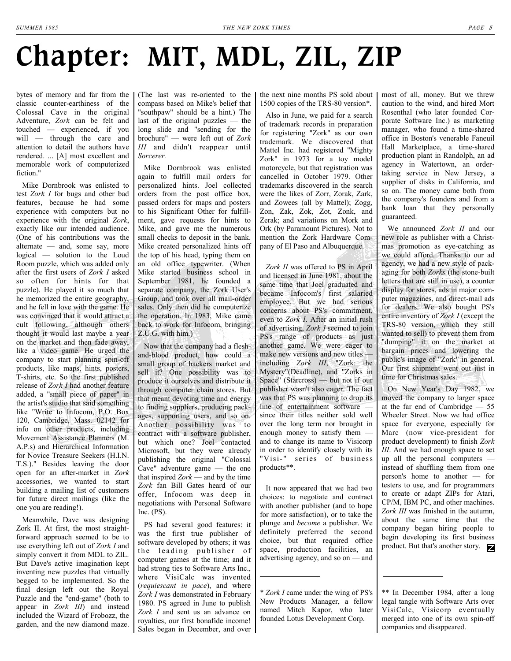# **Chapter: MIT, MDL, ZIL, ZIP**

bytes of memory and far from the classic counter-earthiness of the Colossal Cave in the original Adventure, *Zork* can be felt and touched  $-$  experienced, if you will — through the care and attention to detail the authors have rendered. ... [A] most excellent and memorable work of computerized fiction."

Mike Dornbrook was enlisted to test *Zork I* for bugs and other bad features, because he had some experience with computers but no experience with the original *Zork*, exactly like our intended audience. (One of his contributions was the alternate  $\sim$  and, some say, more logical — solution to the Loud Room puzzle, which was added only after the first users of *Zork I* asked so often for hints for that puzzle). He played it so much that he memorized the entire geography, and he fell in love with the game. He was convinced that it would attract a cult following, although others thought it would last maybe a year on the market and then fade away, like a video game. He urged the company to start planning spin-off products, like maps, hints, posters, T-shirts, etc. So the first published release of *Zork I* had another feature added, a "small piece of paper" in the artist's studio that said something like "Write to Infocom, P.O. Box 120, Cambridge, Mass. 02142 for info on other products, including Movement Assistance Planners (M. A.P.s) and Hierarchical Information for Novice Treasure Seekers (H.I.N. T.S.)." Besides leaving the door open for an after-market in *Zork* accessories, we wanted to start building a mailing list of customers for future direct mailings (like the one you are reading!).

Meanwhile, Dave was designing Zork II. At first, the most straightforward approach seemed to be to use everything left out of *Zork I* and simply convert it from MDL to ZIL. But Dave's active imagination kept inventing new puzzles that virtually begged to be implemented. So the final design left out the Royal Puzzle and the "end-game" (both to appear in *Zork III*) and instead included the Wizard of Frobozz, the garden, and the new diamond maze. (The last was re-oriented to the compass based on Mike's belief that "southpaw" should be a hint.) The last of the original puzzles  $-$  the long slide and "sending for the brochure" – were left out of Zork *III* and didn't reappear until *Sorcerer.*

Mike Dornbrook was enlisted again to fulfill mail orders for personalized hints. Joel collected orders from the post office box, passed orders for maps and posters to his Significant Other for fulfillment, gave requests for hints to Mike, and gave me the numerous small checks to deposit in the bank. Mike created personalized hints off the top of his head, typing them on an old office typewriter. (When Mike started business school in September 1981, he founded a separate company, the Zork User's Group, and took over all mail-order sales. Only then did he computerize the operation. In 1983, Mike came back to work for Infocom, bringing Z.U.G. with him.)

Now that the company had a fleshand-blood product, how could a small group of hackers market and sell it? One possibility was to produce it ourselves and distribute it through computer chain stores. But that meant devoting time and energy to finding suppliers, producing packages, supporting users, and so on. Another possibility was to contract with a software publisher, but which one? Joel contacted Microsoft, but they were already publishing the original "Colossal Cave" adventure game  $-$  the one that inspired  $Zork$   $-$  and by the time *Zork* fan Bill Gates heard of our offer, Infocom was deep in negotiations with Personal Software Inc. (PS).

PS had several good features: it was the first true publisher of software developed by others; it was the leading publisher of computer games at the time; and it had strong ties to Software Arts Inc., where VisiCalc was invented (*requiescant in pace*), and where *Zork I* was demonstrated in February 1980. PS agreed in June to publish *Zork I* and sent us an advance on royalties, our first bonafide income! Sales began in December, and over

the next nine months PS sold about 1500 copies of the TRS-80 version\*.

Also in June, we paid for a search of trademark records in preparation for registering "Zork" as our own trademark. We discovered that Mattel Inc. had registered "Mighty Zork" in 1973 for a toy model motorcycle, but that registration was cancelled in October 1979. Other trademarks discovered in the search were the likes of Zorr, Zorak, Zark, and Zowees (all by Mattel); Zogg, Zon, Zak, Zok, Zot, Zonk, and Zerak; and variations on Mork and Ork (by Paramount Pictures). Not to mention the Zork Hardware Company of El Paso and Albuquerque.

*Zork II* was offered to PS in April and licensed in June 1981, about the same time that Joel graduated and became Infocom's first salaried employee. But we had serious concerns about PS's commitment, even to *Zork I*. After an initial rush of advertising, *Zork I* seemed to join PS's range of products as just another game. We were eager to make new versions and new titles  $$ including *Zork III*, "Zork: the Mystery"(Deadline), and "Zorks in Space" (Starcross)  $-$  but not if our publisher wasn't also eager. The fact was that PS was planning to drop its line of entertainment software since their titles neither sold well over the long term nor brought in enough money to satisfy them  $$ and to change its name to Visicorp in order to identify closely with its "Visi-" series of business products\*\*.

It now appeared that we had two choices: to negotiate and contract with another publisher (and to hope for more satisfaction), or to take the plunge and *become* a publisher. We definitely preferred the second choice, but that required office space, production facilities, an advertising agency, and so  $on$   $-$  and

\* *Zork I* came under the wing of PS's New Products Manager, a fellow named Mitch Kapor, who later founded Lotus Development Corp.

most of all, money. But we threw caution to the wind, and hired Mort Rosenthal (who later founded Corporate Software Inc.) as marketing manager, who found a time-shared office in Boston's venerable Faneuil Hall Marketplace, a time-shared production plant in Randolph, an ad agency in Watertown, an ordertaking service in New Jersey, a supplier of disks in California, and so on. The money came both from the company's founders and from a bank loan that they personally guaranteed.

We announced *Zork II* and our new role as publisher with a Christmas promotion as eye-catching as we could afford. Thanks to our ad agency, we had a new style of packaging for both *Zorks* (the stone-built letters that are still in use), a counter display for stores, ads in major computer magazines, and direct-mail ads for dealers. We also bought PS's entire inventory of *Zork I* (except the TRS-80 version, which they still wanted to sell) to prevent them from "dumping" it on the market at bargain prices and lowering the public's image of "Zork" in general. Our first shipment went out just in time for Christmas sales.

On New Year's Day 1982, we moved the company to larger space at the far end of Cambridge  $-55$ Wheeler Street. Now we had office space for everyone, especially for Marc (now vice-president for product development) to finish *Zork III*. And we had enough space to set up all the personal computers  $$ instead of shuffling them from one person's home to another  $-$  for testers to use, and for programmers to create or adapt ZIPs for Atari, CP/M, IBM PC, and other machines. *Zork III* was finished in the autumn, about the same time that the company began hiring people to begin developing its first business product. But that's another story.

\*\* In December 1984, after a long legal tangle with Software Arts over VisiCalc, Visicorp eventually merged into one of its own spin-off companies and disappeared.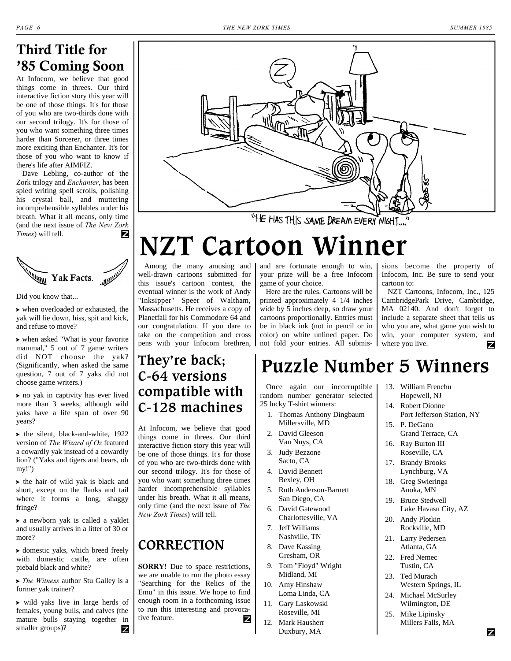### **Third Title for '85 Coming Soon**

At Infocom, we believe that good things come in threes. Our third interactive fiction story this year will be one of those things. It's for those of you who are two-thirds done with our second trilogy. It's for those of you who want something three times harder than Sorcerer, or three times more exciting than Enchanter. It's for those of you who want to know if there's life after AIMFIZ.

Dave Lebling, co-author of the Zork trilogy and *Enchanter*, has been spied writing spell scrolls, polishing his crystal ball, and muttering incomprehensible syllables under his breath. What it all means, only time (and the next issue of *The New Zork Times*) will tell.



Did you know that...

 $\triangleright$  when overloaded or exhausted, the yak will lie down, hiss, spit and kick, and refuse to move?

? when asked "What is your favorite mammal," 5 out of 7 game writers did NOT choose the yak? (Significantly, when asked the same question, 7 out of 7 yaks did not choose game writers.)

? no yak in captivity has ever lived more than 3 weeks, although wild yaks have a life span of over 90 years?

 $\blacktriangleright$  the silent, black-and-white, 1922 version of *The Wizard of Oz* featured a cowardly yak instead of a cowardly lion? ("Yaks and tigers and bears, oh my!")

 $\blacktriangleright$  the hair of wild yak is black and short, except on the flanks and tail where it forms a long, shaggy fringe?

? a newborn yak is called a yaklet and usually arrives in a litter of 30 or more?

? domestic yaks, which breed freely with domestic cattle, are often piebald black and white?

? *The Witness* author Stu Galley is a former yak trainer?

? wild yaks live in large herds of females, young bulls, and calves (the mature bulls staying together in smaller groups)? Ζ



"HE HAS THIS SAME DREAM EVERY NIGHT.

# **NZT Cartoon Winner**

Among the many amusing and well-drawn cartoons submitted for this issue's cartoon contest, the eventual winner is the work of Andy "Inksipper" Speer of Waltham, Massachusetts. He receives a copy of Planetfall for his Commodore 64 and our congratulation. If you dare to take on the competition and cross pens with your Infocom brethren,

### **They're back; C-64 versions compatible with C-128 machines**

At Infocom, we believe that good things come in threes. Our third interactive fiction story this year will be one of those things. It's for those of you who are two-thirds done with our second trilogy. It's for those of you who want something three times harder incomprehensible syllables under his breath. What it all means, only time (and the next issue of *The New Zork Times*) will tell.

### **CORRECTION**

**SORRY!** Due to space restrictions, we are unable to run the photo essay "Searching for the Relics of the Emu" in this issue. We hope to find enough room in a forthcoming issue to run this interesting and provocative feature. Ζ and are fortunate enough to win, your prize will be a free Infocom game of your choice.

Here are the rules. Cartoons will be printed approximately 4 1/4 inches wide by 5 inches deep, so draw your cartoons proportionally. Entries must be in black ink (not in pencil or in color) on white unlined paper. Do not fold your entries. All submissions become the property of Infocom, Inc. Be sure to send your cartoon to:

NZT Cartoons, Infocom, Inc., 125 CambridgePark Drive, Cambridge, MA 02140. And don't forget to include a separate sheet that tells us who you are, what game you wish to win, your computer system, and where you live. Z

## **Puzzle Number 5 Winners**

Once again our incorruptible random number generator selected 25 lucky T-shirt winners:

- 1. Thomas Anthony Dingbaum Millersville, MD
- 2. David Gleeson Van Nuys, CA
- 3. Judy Bezzone Sacto, CA
- 4. David Bennett Bexley, OH
- 5. Ruth Anderson-Barnett San Diego, CA
- 6. David Gatewood Charlottesville, VA
- 7. Jeff Williams Nashville, TN
- 8. Dave Kassing Gresham, OR
- 9. Tom "Floyd" Wright Midland, MI
- 10. Amy Hinshaw Loma Linda, CA
- 11. Gary Laskowski Roseville, MI
- 12. Mark Hausherr Duxbury, MA
- 13. William Frenchu Hopewell, NJ
- 14. Robert Dionne Port Jefferson Station, NY
- 15. P. DeGano Grand Terrace, CA
- 16. Ray Burton III Roseville, CA
- 17. Brandy Brooks Lynchburg, VA
- 18. Greg Swieringa Anoka, MN
- 19. Bruce Stedwell Lake Havasu City, AZ
- 20. Andy Plotkin Rockville, MD
- 21. Larry Pedersen Atlanta, GA
- 22. Fred Nemec Tustin, CA
- 23. Ted Murach Western Springs, IL
- 24. Michael McSurley Wilmington, DE
- 25. Mike Lipinsky Millers Falls, MA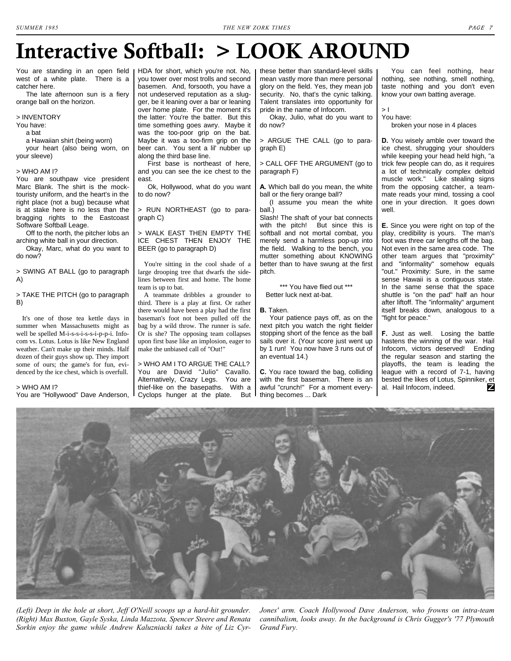## **Interactive Softball: > LOOK AROUND**

You are standing in an open field I west of a white plate. There is a catcher here.

 The late afternoon sun is a fiery orange ball on the horizon.

#### > INVENTORY

You have:

a bat

 a Hawaiian shirt (being worn) your heart (also being worn, on your sleeve)

#### > WHO AM I?

You are southpaw vice president Marc Blank. The shirt is the mocktouristy uniform, and the heart's in the right place (not a bug) because what is at stake here is no less than the bragging rights to the Eastcoast Software Softball Leage.

 Off to the north, the pitcher lobs an arching white ball in your direction.

 Okay, Marc, what do you want to do now?

[> SWING AT BALL \(go to paragraph](#page-6-1) A)

#### [> TAKE THE PITCH \(go to paragraph](#page-6-2)  B)

It's one of those tea kettle days in summer when Massachusetts might as well be spelled M-i-s-s-i-s-s-i-p-p-i. Infocom vs. Lotus. Lotus is like New England weather. Can't make up their minds. Half dozen of their guys show up. They import some of ours; the game's for fun, evidenced by the ice chest, which is overfull.

#### > WHO AM I?

You are "Hollywood" Dave Anderson,

HDA for short, which you're not. No, you tower over most trolls and second basemen. And, forsooth, you have a not undeserved reputation as a slugger, be it leaning over a bar or leaning over home plate. For the moment it's the latter: You're the batter. But this time something goes awry. Maybe it was the too-poor grip on the bat. Maybe it was a too-firm grip on the beer can. You sent a lil' nubber up along the third base line.

 First base is northeast of here, and you can see the ice chest to the east.

 Ok, Hollywood, what do you want to do now?

[> RUN NORTHEAST \(go to para](#page-6-0)graph C)

> WALK EAST THEN EMPTY THE [ICE CHEST THEN ENJOY THE](#page-6-3) BEER (go to paragraph D)

You're sitting in the cool shade of a large drooping tree that dwarfs the sidelines between first and home. The home team is up to bat.

A teammate dribbles a grounder to third. There is a play at first. Or rather there would have been a play had the first baseman's foot not been pulled off the bag by a wild throw. The runner is safe. Or is she? The opposing team collapses upon first base like an implosion, eager to make the unbiased call of "Out!"

> WHO AM I TO ARGUE THE CALL? You are David "Julio" Cavallo. Alternatively, Crazy Legs. You are thief-like on the basepaths. With a Cyclops hunger at the plate. But

these better than standard-level skills mean vastly more than mere personal glory on the field. Yes, they mean job security. No, that's the cynic talking. Talent translates into opportunity for pride in the name of Infocom.

 Okay, Julio, what do you want to do now?

[> ARGUE THE CALL \(go to para](#page-6-4)graph E)

[> CALL OFF THE ARGUMENT \(go to](#page-6-5) paragraph F)

<span id="page-6-1"></span>**A.** Which ball do you mean, the white ball or the fiery orange ball?

 (I assume you mean the white ball.)

Slash! The shaft of your bat connects with the pitch! But since this is softball and not mortal combat, you merely send a harmless pop-up into the field. Walking to the bench, you mutter something about KNOWING better than to have swung at the first pitch.

\*\*\* You have flied out \*\*\* Better luck next at-bat.

#### <span id="page-6-2"></span>**B.** Taken.

 Your patience pays off, as on the next pitch you watch the right fielder stopping short of the fence as the ball sails over it. (Your score just went up by 1 run! You now have 3 runs out of an eventual 14.)

<span id="page-6-0"></span>**C.** You race toward the bag, colliding with the first baseman. There is an awful "crunch!" For a moment everything becomes ... Dark

 You can feel nothing, hear nothing, see nothing, smell nothing, taste nothing and you don't even know your own batting average.

> I You have:

broken your nose in 4 places

<span id="page-6-3"></span>**D.** You wisely amble over toward the ice chest, shrugging your shoulders while keeping your head held high, "a trick few people can do, as it requires a lot of technically complex deltoid muscle work." Like stealing signs from the opposing catcher, a teammate reads your mind, tossing a cool one in your direction. It goes down well.

<span id="page-6-4"></span>**E.** Since you were right on top of the play, credibility is yours. The man's foot was three car lengths off the bag. Not even in the same area code. The other team argues that "proximity" and "informality" somehow equals "out." Proximity: Sure, in the same sense Hawaii is a contiguous state. In the same sense that the space shuttle is "on the pad" half an hour after liftoff. The "informality" argument itself breaks down, analogous to a "fight for peace."

<span id="page-6-5"></span>**F.** Just as well. Losing the battle hastens the winning of the war. Hail Infocom, victors deserved! Ending the regular season and starting the playoffs, the team is leading the league with a record of 7-1, having bested the likes of Lotus, Spinniker, et al. Hail Infocom, indeed. z



*(Left) Deep in the hole at short, Jeff O'Neill scoops up a hard-hit grounder. (Right) Max Buxton, Gayle Syska, Linda Mazzota, Spencer Steere and Renata Sorkin enjoy the game while Andrew Kaluzniacki takes a bite of Liz Cyr-*

*Jones' arm. Coach Hollywood Dave Anderson, who frowns on intra-team cannibalism, looks away. In the background is Chris Gugger's '77 Plymouth Grand Fury.*